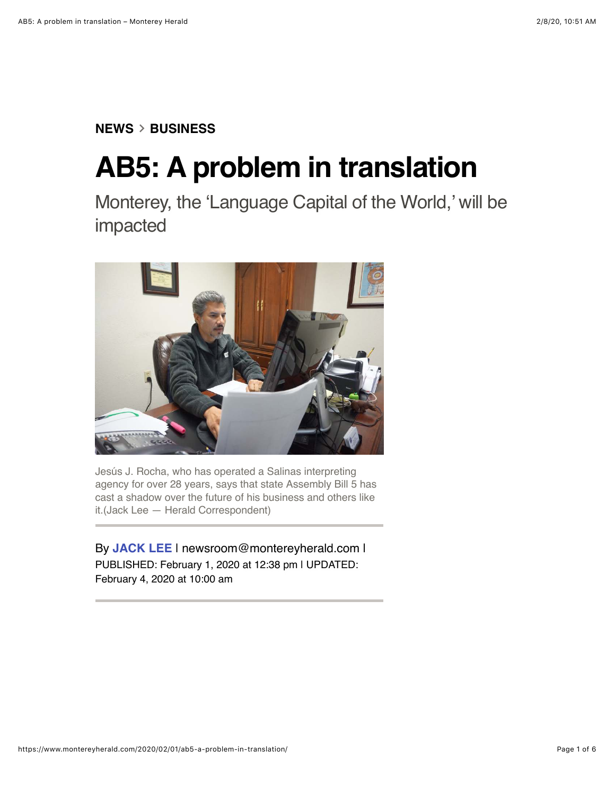## **[NEWS](https://www.montereyherald.com/news/)**!**[BUSINESS](https://www.montereyherald.com/news/business/)**

## **AB5: A problem in translation**

Monterey, the 'Language Capital of the World,' will be impacted



Jesús J. Rocha, who has operated a Salinas interpreting agency for over 28 years, says that state Assembly Bill 5 has cast a shadow over the future of his business and others like it.(Jack Lee — Herald Correspondent)

By **[JACK LEE](https://www.montereyherald.com/author/jack-lee/)** | [newsroom@montereyherald.com](mailto:newsroom@montereyherald.com) | PUBLISHED: February 1, 2020 at 12:38 pm | UPDATED: February 4, 2020 at 10:00 am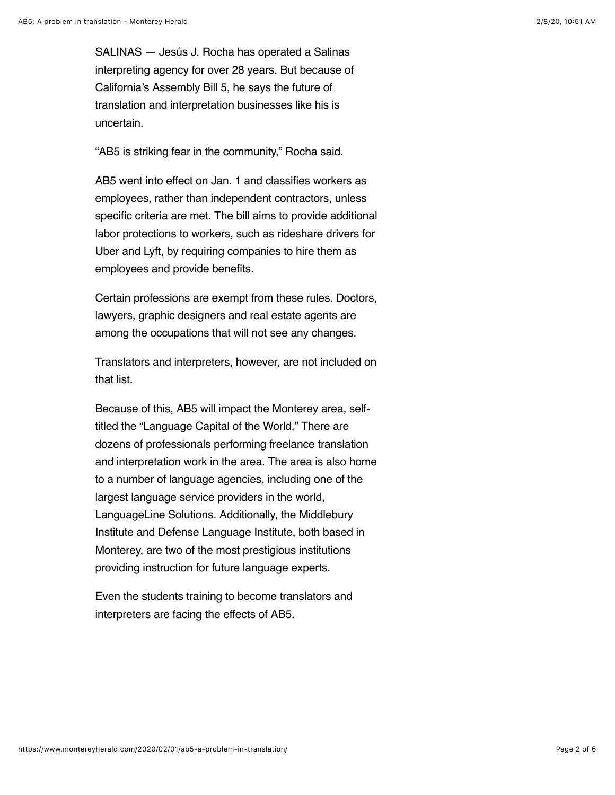SALINAS — Jesús J. Rocha has operated a Salinas interpreting agency for over 28 years. But because of California's Assembly Bill 5, he says the future of translation and interpretation businesses like his is uncertain.

"AB5 is striking fear in the community," Rocha said.

AB5 went into effect on Jan. 1 and classifies workers as employees, rather than independent contractors, unless specific criteria are met. The bill aims to provide additional labor protections to workers, such as rideshare drivers for Uber and Lyft, by requiring companies to hire them as employees and provide benefits.

Certain professions are exempt from these rules. Doctors, lawyers, graphic designers and real estate agents are among the occupations that will not see any changes.

Translators and interpreters, however, are not included on that list.

Because of this, AB5 will impact the Monterey area, selftitled the "Language Capital of the World." There are dozens of professionals performing freelance translation and interpretation work in the area. The area is also home to a number of language agencies, including one of the largest language service providers in the world, LanguageLine Solutions. Additionally, the Middlebury Institute and Defense Language Institute, both based in Monterey, are two of the most prestigious institutions providing instruction for future language experts.

Even the students training to become translators and interpreters are facing the effects of AB5.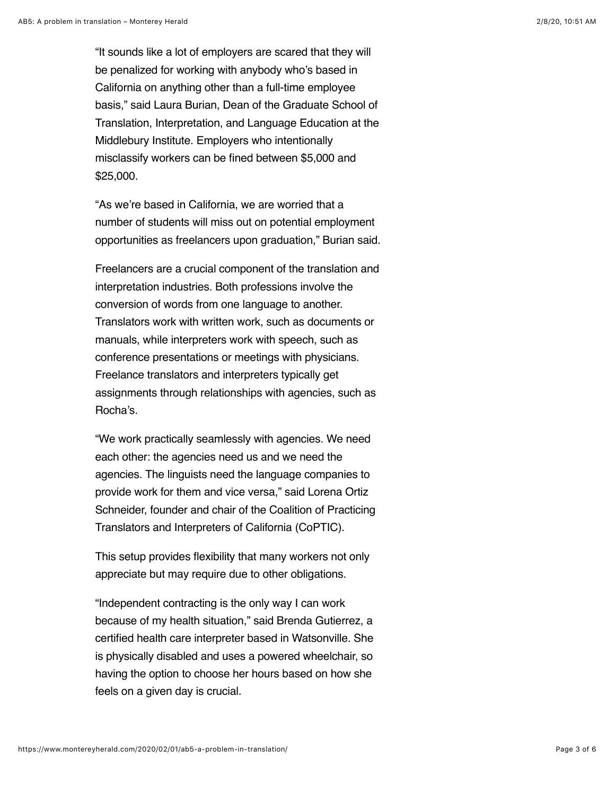"It sounds like a lot of employers are scared that they will be penalized for working with anybody who's based in California on anything other than a full-time employee basis," said Laura Burian, Dean of the Graduate School of Translation, Interpretation, and Language Education at the Middlebury Institute. Employers who intentionally misclassify workers can be fined between \$5,000 and \$25,000.

"As we're based in California, we are worried that a number of students will miss out on potential employment opportunities as freelancers upon graduation," Burian said.

Freelancers are a crucial component of the translation and interpretation industries. Both professions involve the conversion of words from one language to another. Translators work with written work, such as documents or manuals, while interpreters work with speech, such as conference presentations or meetings with physicians. Freelance translators and interpreters typically get assignments through relationships with agencies, such as Rocha's.

"We work practically seamlessly with agencies. We need each other: the agencies need us and we need the agencies. The linguists need the language companies to provide work for them and vice versa," said Lorena Ortiz Schneider, founder and chair of the Coalition of Practicing Translators and Interpreters of California (CoPTIC).

This setup provides flexibility that many workers not only appreciate but may require due to other obligations.

"Independent contracting is the only way I can work because of my health situation," said Brenda Gutierrez, a certified health care interpreter based in Watsonville. She is physically disabled and uses a powered wheelchair, so having the option to choose her hours based on how she feels on a given day is crucial.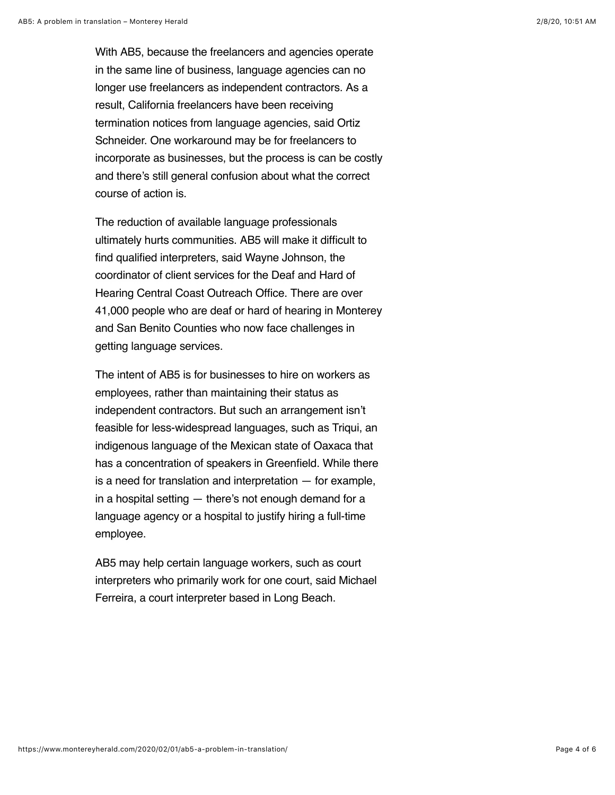With AB5, because the freelancers and agencies operate in the same line of business, language agencies can no longer use freelancers as independent contractors. As a result, California freelancers have been receiving termination notices from language agencies, said Ortiz Schneider. One workaround may be for freelancers to incorporate as businesses, but the process is can be costly and there's still general confusion about what the correct course of action is.

The reduction of available language professionals ultimately hurts communities. AB5 will make it difficult to find qualified interpreters, said Wayne Johnson, the coordinator of client services for the Deaf and Hard of Hearing Central Coast Outreach Office. There are over 41,000 people who are deaf or hard of hearing in Monterey and San Benito Counties who now face challenges in getting language services.

The intent of AB5 is for businesses to hire on workers as employees, rather than maintaining their status as independent contractors. But such an arrangement isn't feasible for less-widespread languages, such as Triqui, an indigenous language of the Mexican state of Oaxaca that has a concentration of speakers in Greenfield. While there is a need for translation and interpretation — for example, in a hospital setting — there's not enough demand for a language agency or a hospital to justify hiring a full-time employee.

AB5 may help certain language workers, such as court interpreters who primarily work for one court, said Michael Ferreira, a court interpreter based in Long Beach.